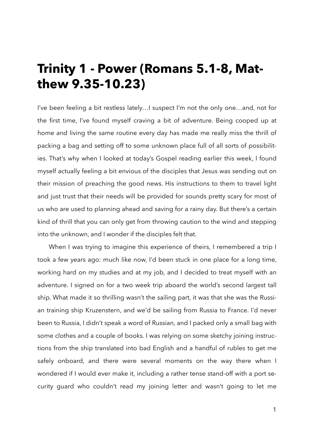## **Trinity 1 - Power (Romans 5.1-8, Matthew 9.35-10.23)**

I've been feeling a bit restless lately…I suspect I'm not the only one…and, not for the first time, I've found myself craving a bit of adventure. Being cooped up at home and living the same routine every day has made me really miss the thrill of packing a bag and setting off to some unknown place full of all sorts of possibilities. That's why when I looked at today's Gospel reading earlier this week, I found myself actually feeling a bit envious of the disciples that Jesus was sending out on their mission of preaching the good news. His instructions to them to travel light and just trust that their needs will be provided for sounds pretty scary for most of us who are used to planning ahead and saving for a rainy day. But there's a certain kind of thrill that you can only get from throwing caution to the wind and stepping into the unknown, and I wonder if the disciples felt that.

When I was trying to imagine this experience of theirs, I remembered a trip I took a few years ago: much like now, I'd been stuck in one place for a long time, working hard on my studies and at my job, and I decided to treat myself with an adventure. I signed on for a two week trip aboard the world's second largest tall ship. What made it so thrilling wasn't the sailing part, it was that she was the Russian training ship Kruzenstern, and we'd be sailing from Russia to France. I'd never been to Russia, I didn't speak a word of Russian, and I packed only a small bag with some clothes and a couple of books. I was relying on some sketchy joining instructions from the ship translated into bad English and a handful of rubles to get me safely onboard, and there were several moments on the way there when I wondered if I would ever make it, including a rather tense stand-off with a port security guard who couldn't read my joining letter and wasn't going to let me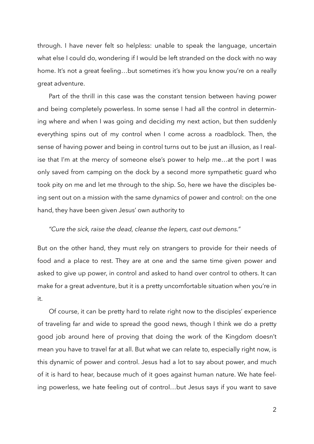through. I have never felt so helpless: unable to speak the language, uncertain what else I could do, wondering if I would be left stranded on the dock with no way home. It's not a great feeling…but sometimes it's how you know you're on a really great adventure.

Part of the thrill in this case was the constant tension between having power and being completely powerless. In some sense I had all the control in determining where and when I was going and deciding my next action, but then suddenly everything spins out of my control when I come across a roadblock. Then, the sense of having power and being in control turns out to be just an illusion, as I realise that I'm at the mercy of someone else's power to help me…at the port I was only saved from camping on the dock by a second more sympathetic guard who took pity on me and let me through to the ship. So, here we have the disciples being sent out on a mission with the same dynamics of power and control: on the one hand, they have been given Jesus' own authority to

## *"Cure the sick, raise the dead, cleanse the lepers, cast out demons."*

But on the other hand, they must rely on strangers to provide for their needs of food and a place to rest. They are at one and the same time given power and asked to give up power, in control and asked to hand over control to others. It can make for a great adventure, but it is a pretty uncomfortable situation when you're in it.

Of course, it can be pretty hard to relate right now to the disciples' experience of traveling far and wide to spread the good news, though I think we do a pretty good job around here of proving that doing the work of the Kingdom doesn't mean you have to travel far at all. But what we can relate to, especially right now, is this dynamic of power and control. Jesus had a lot to say about power, and much of it is hard to hear, because much of it goes against human nature. We hate feeling powerless, we hate feeling out of control…but Jesus says if you want to save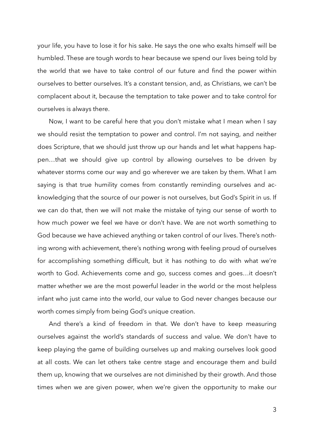your life, you have to lose it for his sake. He says the one who exalts himself will be humbled. These are tough words to hear because we spend our lives being told by the world that we have to take control of our future and find the power within ourselves to better ourselves. It's a constant tension, and, as Christians, we can't be complacent about it, because the temptation to take power and to take control for ourselves is always there.

Now, I want to be careful here that you don't mistake what I mean when I say we should resist the temptation to power and control. I'm not saying, and neither does Scripture, that we should just throw up our hands and let what happens happen…that we should give up control by allowing ourselves to be driven by whatever storms come our way and go wherever we are taken by them. What I am saying is that true humility comes from constantly reminding ourselves and acknowledging that the source of our power is not ourselves, but God's Spirit in us. If we can do that, then we will not make the mistake of tying our sense of worth to how much power we feel we have or don't have. We are not worth something to God because we have achieved anything or taken control of our lives. There's nothing wrong with achievement, there's nothing wrong with feeling proud of ourselves for accomplishing something difficult, but it has nothing to do with what we're worth to God. Achievements come and go, success comes and goes…it doesn't matter whether we are the most powerful leader in the world or the most helpless infant who just came into the world, our value to God never changes because our worth comes simply from being God's unique creation.

And there's a kind of freedom in that. We don't have to keep measuring ourselves against the world's standards of success and value. We don't have to keep playing the game of building ourselves up and making ourselves look good at all costs. We can let others take centre stage and encourage them and build them up, knowing that we ourselves are not diminished by their growth. And those times when we are given power, when we're given the opportunity to make our